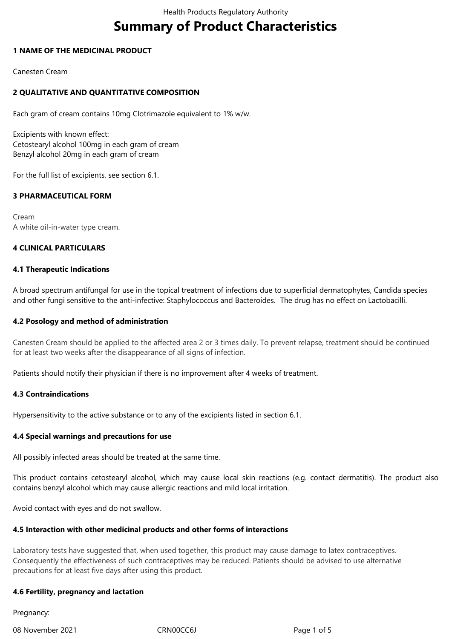# **Summary of Product Characteristics**

### **1 NAME OF THE MEDICINAL PRODUCT**

Canesten Cream

## **2 QUALITATIVE AND QUANTITATIVE COMPOSITION**

Each gram of cream contains 10mg Clotrimazole equivalent to 1% w/w.

Excipients with known effect: Cetostearyl alcohol 100mg in each gram of cream Benzyl alcohol 20mg in each gram of cream

For the full list of excipients, see section 6.1.

### **3 PHARMACEUTICAL FORM**

Cream A white oil-in-water type cream.

### **4 CLINICAL PARTICULARS**

#### **4.1 Therapeutic Indications**

A broad spectrum antifungal for use in the topical treatment of infections due to superficial dermatophytes, Candida species and other fungi sensitive to the anti-infective: Staphylococcus and Bacteroides.The drug has no effect on Lactobacilli.

### **4.2 Posology and method of administration**

Canesten Cream should be applied to the affected area 2 or 3 times daily. To prevent relapse, treatment should be continued for at least two weeks after the disappearance of all signs of infection.

Patients should notify their physician if there is no improvement after 4 weeks of treatment.

### **4.3 Contraindications**

Hypersensitivity to the active substance or to any of the excipients listed in section 6.1.

### **4.4 Special warnings and precautions for use**

All possibly infected areas should be treated at the same time.

This product contains cetostearyl alcohol, which may cause local skin reactions (e.g. contact dermatitis). The product also contains benzyl alcohol which may cause allergic reactions and mild local irritation.

Avoid contact with eyes and do not swallow.

### **4.5 Interaction with other medicinal products and other forms of interactions**

Laboratory tests have suggested that, when used together, this product may cause damage to latex contraceptives. Consequently the effectiveness of such contraceptives may be reduced. Patients should be advised to use alternative precautions for at least five days after using this product.

### **4.6 Fertility, pregnancy and lactation**

Pregnancy:

08 November 2021 CRN00CC6J Page 1 of 5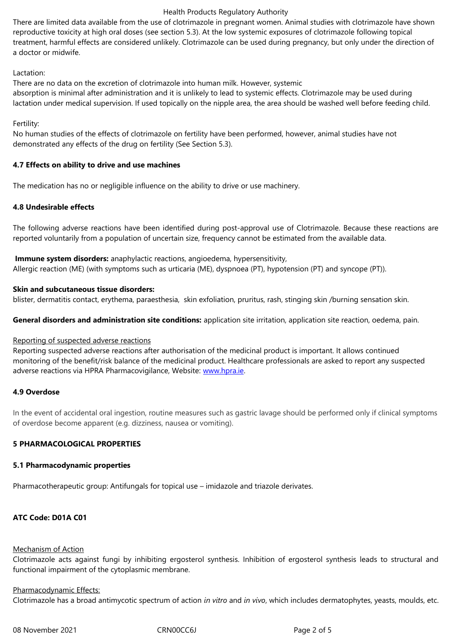treatment, harmful effects are considered unlikely. Clotrimazole can be used during pregnancy, but only under the direction of a doctor or midwife.

### Lactation:

There are no data on the excretion of clotrimazole into human milk. However, systemic absorption is minimal after administration and it is unlikely to lead to systemic effects. Clotrimazole may be used during lactation under medical supervision. If used topically on the nipple area, the area should be washed well before feeding child.

# Fertility:

No human studies of the effects of clotrimazole on fertility have been performed, however, animal studies have not demonstrated any effects of the drug on fertility (See Section 5.3).

# **4.7 Effects on ability to drive and use machines**

The medication has no or negligible influence on the ability to drive or use machinery.

# **4.8 Undesirable effects**

The following adverse reactions have been identified during post-approval use of Clotrimazole. Because these reactions are reported voluntarily from a population of uncertain size, frequency cannot be estimated from the available data.

**Immune system disorders:** anaphylactic reactions, angioedema, hypersensitivity, Allergic reaction (ME) (with symptoms such as urticaria (ME), dyspnoea (PT), hypotension (PT) and syncope (PT)).

# **Skin and subcutaneous tissue disorders:**

blister, dermatitis contact, erythema, paraesthesia, skin exfoliation, pruritus, rash, stinging skin /burning sensation skin.

**General disorders and administration site conditions:** application site irritation, application site reaction, oedema, pain.

## Reporting of suspected adverse reactions

Reporting suspected adverse reactions after authorisation of the medicinal product is important. It allows continued monitoring of the benefit/risk balance of the medicinal product. Healthcare professionals are asked to report any suspected adverse reactions via HPRA Pharmacovigilance, Website: www.hpra.ie.

# **4.9 Overdose**

In the event of accidental oral ingestion, routine measure[s such as gas](http://www.hpra.ie/)tric lavage should be performed only if clinical symptoms of overdose become apparent (e.g. dizziness, nausea or vomiting).

# **5 PHARMACOLOGICAL PROPERTIES**

# **5.1 Pharmacodynamic properties**

Pharmacotherapeutic group: Antifungals for topical use – imidazole and triazole derivates.

# **ATC Code: D01A C01**

# Mechanism of Action

Clotrimazole acts against fungi by inhibiting ergosterol synthesis. Inhibition of ergosterol synthesis leads to structural and functional impairment of the cytoplasmic membrane.

# Pharmacodynamic Effects:

Clotrimazole has a broad antimycotic spectrum of action *in vitro* and *in vivo*, which includes dermatophytes, yeasts, moulds, etc.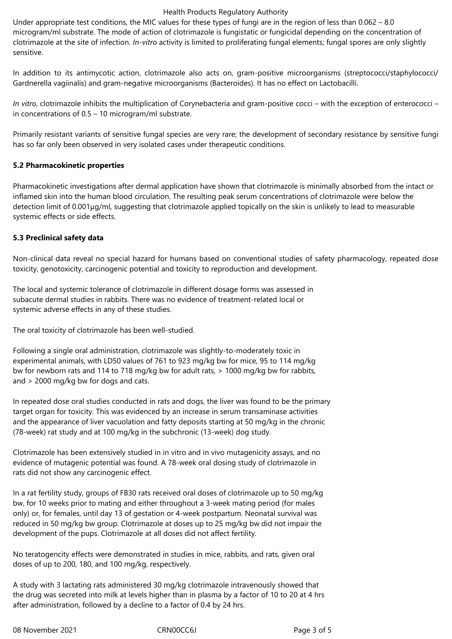#### Health Products Regulatory Authority

Under appropriate test conditions, the MIC values for these types of fungi are in the region of less than 0.062 – 8.0 microgram/ml substrate. The mode of action of clotrimazole is fungistatic or fungicidal depending on the concentration of clotrimazole at the site of infection. *In-vitro* activity is limited to proliferating fungal elements; fungal spores are only slightly sensitive.

In addition to its antimycotic action, clotrimazole also acts on, gram-positive microorganisms (streptococci/staphylococci/ Gardnerella vagiinalis) and gram-negative microorganisms (Bacteroides). It has no effect on Lactobacilli.

*In vitro*, clotrimazole inhibits the multiplication of Corynebacteria and gram-positive cocci – with the exception of enterococci – in concentrations of 0.5 – 10 microgram/ml substrate.

Primarily resistant variants of sensitive fungal species are very rare; the development of secondary resistance by sensitive fungi has so far only been observed in very isolated cases under therapeutic conditions.

### **5.2 Pharmacokinetic properties**

Pharmacokinetic investigations after dermal application have shown that clotrimazole is minimally absorbed from the intact or inflamed skin into the human blood circulation. The resulting peak serum concentrations of clotrimazole were below the detection limit of 0.001μg/ml, suggesting that clotrimazole applied topically on the skin is unlikely to lead to measurable systemic effects or side effects.

### **5.3 Preclinical safety data**

Non-clinical data reveal no special hazard for humans based on conventional studies of safety pharmacology, repeated dose toxicity, genotoxicity, carcinogenic potential and toxicity to reproduction and development.

The local and systemic tolerance of clotrimazole in different dosage forms was assessed in subacute dermal studies in rabbits. There was no evidence of treatment-related local or systemic adverse effects in any of these studies.

The oral toxicity of clotrimazole has been well-studied.

Following a single oral administration, clotrimazole was slightly-to-moderately toxic in experimental animals, with LD50 values of 761 to 923 mg/kg bw for mice, 95 to 114 mg/kg bw for newborn rats and 114 to 718 mg/kg bw for adult rats, > 1000 mg/kg bw for rabbits, and > 2000 mg/kg bw for dogs and cats.

In repeated dose oral studies conducted in rats and dogs, the liver was found to be the primary target organ for toxicity. This was evidenced by an increase in serum transaminase activities and the appearance of liver vacuolation and fatty deposits starting at 50 mg/kg in the chronic (78-week) rat study and at 100 mg/kg in the subchronic (13-week) dog study.

Clotrimazole has been extensively studied in in vitro and in vivo mutagenicity assays, and no evidence of mutagenic potential was found. A 78-week oral dosing study of clotrimazole in rats did not show any carcinogenic effect.

In a rat fertility study, groups of FB30 rats received oral doses of clotrimazole up to 50 mg/kg bw, for 10 weeks prior to mating and either throughout a 3-week mating period (for males only) or, for females, until day 13 of gestation or 4-week postpartum. Neonatal survival was reduced in 50 mg/kg bw group. Clotrimazole at doses up to 25 mg/kg bw did not impair the development of the pups. Clotrimazole at all doses did not affect fertility.

No teratogencity effects were demonstrated in studies in mice, rabbits, and rats, given oral doses of up to 200, 180, and 100 mg/kg, respectively.

A study with 3 lactating rats administered 30 mg/kg clotrimazole intravenously showed that the drug was secreted into milk at levels higher than in plasma by a factor of 10 to 20 at 4 hrs after administration, followed by a decline to a factor of 0.4 by 24 hrs.

08 November 2021 CRN00CC6J Page 3 of 5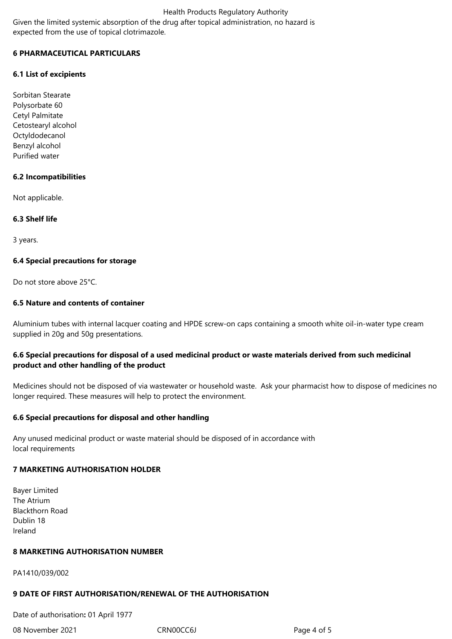## Health Products Regulatory Authority

Given the limited systemic absorption of the drug after topical administration, no hazard is expected from the use of topical clotrimazole.

### **6 PHARMACEUTICAL PARTICULARS**

### **6.1 List of excipients**

Sorbitan Stearate Polysorbate 60 Cetyl Palmitate Cetostearyl alcohol Octyldodecanol Benzyl alcohol Purified water

### **6.2 Incompatibilities**

Not applicable.

### **6.3 Shelf life**

3 years.

### **6.4 Special precautions for storage**

Do not store above 25°C.

### **6.5 Nature and contents of container**

Aluminium tubes with internal lacquer coating and HPDE screw-on caps containing a smooth white oil-in-water type cream supplied in 20g and 50g presentations.

# **6.6 Special precautions for disposal of a used medicinal product or waste materials derived from such medicinal product and other handling of the product**

Medicines should not be disposed of via wastewater or household waste. Ask your pharmacist how to dispose of medicines no longer required. These measures will help to protect the environment.

# **6.6 Special precautions for disposal and other handling**

Any unused medicinal product or waste material should be disposed of in accordance with local requirements

### **7 MARKETING AUTHORISATION HOLDER**

Bayer Limited The Atrium Blackthorn Road Dublin 18 Ireland

### **8 MARKETING AUTHORISATION NUMBER**

PA1410/039/002

### **9 DATE OF FIRST AUTHORISATION/RENEWAL OF THE AUTHORISATION**

Date of authorisation**:** 01 April 1977

08 November 2021 CRN00CC6J Page 4 of 5